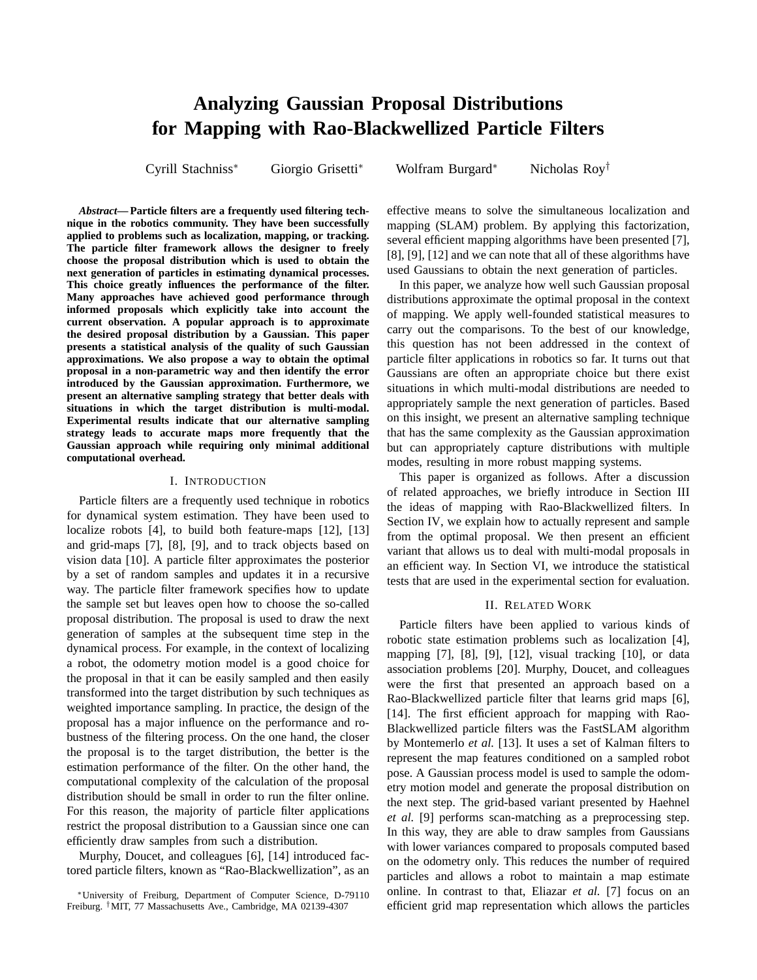# **Analyzing Gaussian Proposal Distributions for Mapping with Rao-Blackwellized Particle Filters**

Cyrill Stachniss<sup>∗</sup> Giorgio Grisetti<sup>∗</sup> Wolfram Burgard<sup>∗</sup> Nicholas Roy†

*Abstract***— Particle filters are a frequently used filtering technique in the robotics community. They have been successfully applied to problems such as localization, mapping, or tracking. The particle filter framework allows the designer to freely choose the proposal distribution which is used to obtain the next generation of particles in estimating dynamical processes. This choice greatly influences the performance of the filter. Many approaches have achieved good performance through informed proposals which explicitly take into account the current observation. A popular approach is to approximate the desired proposal distribution by a Gaussian. This paper presents a statistical analysis of the quality of such Gaussian approximations. We also propose a way to obtain the optimal proposal in a non-parametric way and then identify the error introduced by the Gaussian approximation. Furthermore, we present an alternative sampling strategy that better deals with situations in which the target distribution is multi-modal. Experimental results indicate that our alternative sampling strategy leads to accurate maps more frequently that the Gaussian approach while requiring only minimal additional computational overhead.**

## I. INTRODUCTION

Particle filters are a frequently used technique in robotics for dynamical system estimation. They have been used to localize robots [4], to build both feature-maps [12], [13] and grid-maps [7], [8], [9], and to track objects based on vision data [10]. A particle filter approximates the posterior by a set of random samples and updates it in a recursive way. The particle filter framework specifies how to update the sample set but leaves open how to choose the so-called proposal distribution. The proposal is used to draw the next generation of samples at the subsequent time step in the dynamical process. For example, in the context of localizing a robot, the odometry motion model is a good choice for the proposal in that it can be easily sampled and then easily transformed into the target distribution by such techniques as weighted importance sampling. In practice, the design of the proposal has a major influence on the performance and robustness of the filtering process. On the one hand, the closer the proposal is to the target distribution, the better is the estimation performance of the filter. On the other hand, the computational complexity of the calculation of the proposal distribution should be small in order to run the filter online. For this reason, the majority of particle filter applications restrict the proposal distribution to a Gaussian since one can efficiently draw samples from such a distribution.

Murphy, Doucet, and colleagues [6], [14] introduced factored particle filters, known as "Rao-Blackwellization", as an effective means to solve the simultaneous localization and mapping (SLAM) problem. By applying this factorization, several efficient mapping algorithms have been presented [7], [8], [9], [12] and we can note that all of these algorithms have used Gaussians to obtain the next generation of particles.

In this paper, we analyze how well such Gaussian proposal distributions approximate the optimal proposal in the context of mapping. We apply well-founded statistical measures to carry out the comparisons. To the best of our knowledge, this question has not been addressed in the context of particle filter applications in robotics so far. It turns out that Gaussians are often an appropriate choice but there exist situations in which multi-modal distributions are needed to appropriately sample the next generation of particles. Based on this insight, we present an alternative sampling technique that has the same complexity as the Gaussian approximation but can appropriately capture distributions with multiple modes, resulting in more robust mapping systems.

This paper is organized as follows. After a discussion of related approaches, we briefly introduce in Section III the ideas of mapping with Rao-Blackwellized filters. In Section IV, we explain how to actually represent and sample from the optimal proposal. We then present an efficient variant that allows us to deal with multi-modal proposals in an efficient way. In Section VI, we introduce the statistical tests that are used in the experimental section for evaluation.

### II. RELATED WORK

Particle filters have been applied to various kinds of robotic state estimation problems such as localization [4], mapping [7], [8], [9], [12], visual tracking [10], or data association problems [20]. Murphy, Doucet, and colleagues were the first that presented an approach based on a Rao-Blackwellized particle filter that learns grid maps [6], [14]. The first efficient approach for mapping with Rao-Blackwellized particle filters was the FastSLAM algorithm by Montemerlo *et al.* [13]. It uses a set of Kalman filters to represent the map features conditioned on a sampled robot pose. A Gaussian process model is used to sample the odometry motion model and generate the proposal distribution on the next step. The grid-based variant presented by Haehnel *et al.* [9] performs scan-matching as a preprocessing step. In this way, they are able to draw samples from Gaussians with lower variances compared to proposals computed based on the odometry only. This reduces the number of required particles and allows a robot to maintain a map estimate online. In contrast to that, Eliazar *et al.* [7] focus on an efficient grid map representation which allows the particles

<sup>∗</sup>University of Freiburg, Department of Computer Science, D-79110 Freiburg. †MIT, 77 Massachusetts Ave., Cambridge, MA 02139-4307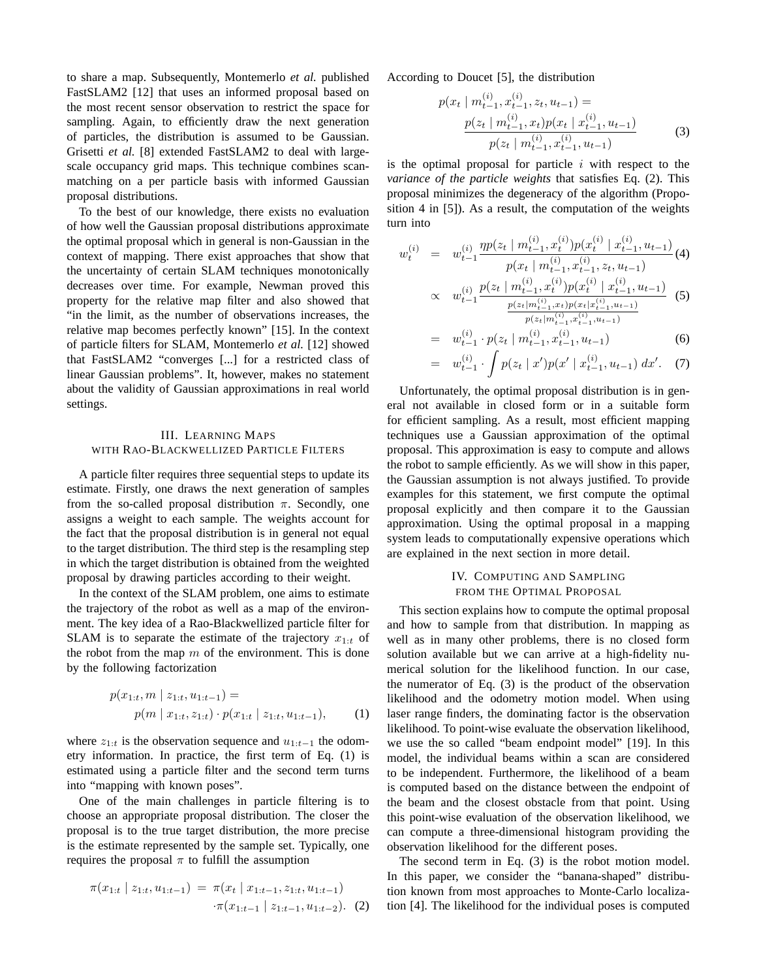to share a map. Subsequently, Montemerlo *et al.* published FastSLAM2 [12] that uses an informed proposal based on the most recent sensor observation to restrict the space for sampling. Again, to efficiently draw the next generation of particles, the distribution is assumed to be Gaussian. Grisetti *et al.* [8] extended FastSLAM2 to deal with largescale occupancy grid maps. This technique combines scanmatching on a per particle basis with informed Gaussian proposal distributions.

To the best of our knowledge, there exists no evaluation of how well the Gaussian proposal distributions approximate the optimal proposal which in general is non-Gaussian in the context of mapping. There exist approaches that show that the uncertainty of certain SLAM techniques monotonically decreases over time. For example, Newman proved this property for the relative map filter and also showed that "in the limit, as the number of observations increases, the relative map becomes perfectly known" [15]. In the context of particle filters for SLAM, Montemerlo *et al.* [12] showed that FastSLAM2 "converges [...] for a restricted class of linear Gaussian problems". It, however, makes no statement about the validity of Gaussian approximations in real world settings.

# III. LEARNING MAPS WITH RAO-BLACKWELLIZED PARTICLE FILTERS

A particle filter requires three sequential steps to update its estimate. Firstly, one draws the next generation of samples from the so-called proposal distribution  $\pi$ . Secondly, one assigns a weight to each sample. The weights account for the fact that the proposal distribution is in general not equal to the target distribution. The third step is the resampling step in which the target distribution is obtained from the weighted proposal by drawing particles according to their weight.

In the context of the SLAM problem, one aims to estimate the trajectory of the robot as well as a map of the environment. The key idea of a Rao-Blackwellized particle filter for SLAM is to separate the estimate of the trajectory  $x_{1:t}$  of the robot from the map  $m$  of the environment. This is done by the following factorization

$$
p(x_{1:t}, m \mid z_{1:t}, u_{1:t-1}) =
$$
  
 
$$
p(m \mid x_{1:t}, z_{1:t}) \cdot p(x_{1:t} \mid z_{1:t}, u_{1:t-1}),
$$
 (1)

where  $z_{1:t}$  is the observation sequence and  $u_{1:t-1}$  the odometry information. In practice, the first term of Eq. (1) is estimated using a particle filter and the second term turns into "mapping with known poses".

One of the main challenges in particle filtering is to choose an appropriate proposal distribution. The closer the proposal is to the true target distribution, the more precise is the estimate represented by the sample set. Typically, one requires the proposal  $\pi$  to fulfill the assumption

$$
\pi(x_{1:t} \mid z_{1:t}, u_{1:t-1}) = \pi(x_t \mid x_{1:t-1}, z_{1:t}, u_{1:t-1})
$$

$$
\cdot \pi(x_{1:t-1} \mid z_{1:t-1}, u_{1:t-2}). \tag{2}
$$

According to Doucet [5], the distribution  $\sim$ 

 $\sim$ 

$$
p(x_t \mid m_{t-1}^{(i)}, x_{t-1}^{(i)}, z_t, u_{t-1}) =
$$
  
\n
$$
\frac{p(z_t \mid m_{t-1}^{(i)}, x_t) p(x_t \mid x_{t-1}^{(i)}, u_{t-1})}{p(z_t \mid m_{t-1}^{(i)}, x_{t-1}^{(i)}, u_{t-1})}
$$
 (3)

 $\lambda$ 

 $\lambda$ 

 $\lambda$ 

is the optimal proposal for particle  $i$  with respect to the *variance of the particle weights* that satisfies Eq. (2). This proposal minimizes the degeneracy of the algorithm (Proposition 4 in [5]). As a result, the computation of the weights turn into

 $\lambda$ 

$$
w_{t}^{(i)} = w_{t-1}^{(i)} \frac{\eta p(z_t \mid m_{t-1}^{(i)}, x_t^{(i)}) p(x_t^{(i)} \mid x_{t-1}^{(i)}, u_{t-1})}{p(x_t \mid m_{t-1}^{(i)}, x_{t-1}^{(i)}, z_t, u_{t-1})} (4)
$$
  
 
$$
\propto w_{t-1}^{(i)} \frac{p(z_t \mid m_{t-1}^{(i)}, x_t^{(i)}) p(x_t^{(i)} \mid x_{t-1}^{(i)}, u_{t-1})}{\frac{p(z_t \mid m_{t-1}^{(i)}, x_t) p(x_t \mid x_{t-1}^{(i)}, u_{t-1})}{p(z_t \mid m_{t-1}^{(i)}, x_{t-1}^{(i)}, u_{t-1})} (5)
$$

$$
= w_{t-1}^{(i)} \cdot p(z_t \mid m_{t-1}^{(i)}, x_{t-1}^{(i)}, u_{t-1}) \tag{6}
$$

$$
= w_{t-1}^{(i)} \cdot \int p(z_t | x') p(x' | x_{t-1}^{(i)}, u_{t-1}) dx'. \quad (7)
$$

Unfortunately, the optimal proposal distribution is in general not available in closed form or in a suitable form for efficient sampling. As a result, most efficient mapping techniques use a Gaussian approximation of the optimal proposal. This approximation is easy to compute and allows the robot to sample efficiently. As we will show in this paper, the Gaussian assumption is not always justified. To provide examples for this statement, we first compute the optimal proposal explicitly and then compare it to the Gaussian approximation. Using the optimal proposal in a mapping system leads to computationally expensive operations which are explained in the next section in more detail.

# IV. COMPUTING AND SAMPLING FROM THE OPTIMAL PROPOSAL

This section explains how to compute the optimal proposal and how to sample from that distribution. In mapping as well as in many other problems, there is no closed form solution available but we can arrive at a high-fidelity numerical solution for the likelihood function. In our case, the numerator of Eq. (3) is the product of the observation likelihood and the odometry motion model. When using laser range finders, the dominating factor is the observation likelihood. To point-wise evaluate the observation likelihood, we use the so called "beam endpoint model" [19]. In this model, the individual beams within a scan are considered to be independent. Furthermore, the likelihood of a beam is computed based on the distance between the endpoint of the beam and the closest obstacle from that point. Using this point-wise evaluation of the observation likelihood, we can compute a three-dimensional histogram providing the observation likelihood for the different poses.

The second term in Eq. (3) is the robot motion model. In this paper, we consider the "banana-shaped" distribution known from most approaches to Monte-Carlo localization [4]. The likelihood for the individual poses is computed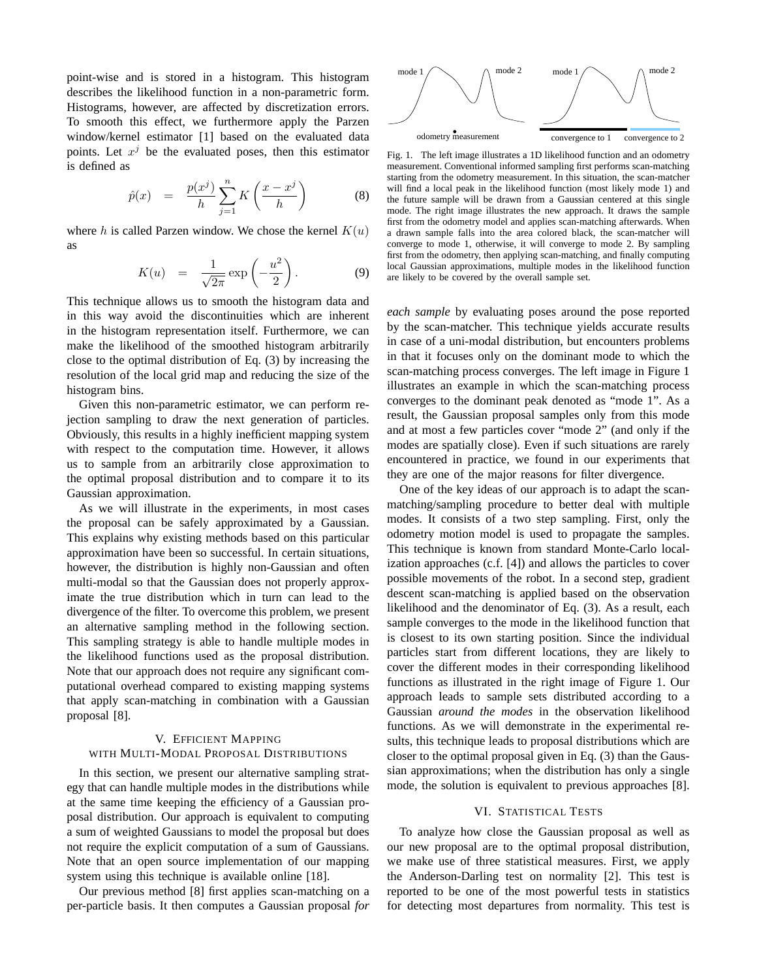point-wise and is stored in a histogram. This histogram describes the likelihood function in a non-parametric form. Histograms, however, are affected by discretization errors. To smooth this effect, we furthermore apply the Parzen window/kernel estimator [1] based on the evaluated data points. Let  $x^j$  be the evaluated poses, then this estimator is defined as

$$
\hat{p}(x) = \frac{p(x^j)}{h} \sum_{j=1}^n K\left(\frac{x - x^j}{h}\right) \tag{8}
$$

where h is called Parzen window. We chose the kernel  $K(u)$ as

$$
K(u) = \frac{1}{\sqrt{2\pi}} \exp\left(-\frac{u^2}{2}\right). \tag{9}
$$

This technique allows us to smooth the histogram data and in this way avoid the discontinuities which are inherent in the histogram representation itself. Furthermore, we can make the likelihood of the smoothed histogram arbitrarily close to the optimal distribution of Eq. (3) by increasing the resolution of the local grid map and reducing the size of the histogram bins.

Given this non-parametric estimator, we can perform rejection sampling to draw the next generation of particles. Obviously, this results in a highly inefficient mapping system with respect to the computation time. However, it allows us to sample from an arbitrarily close approximation to the optimal proposal distribution and to compare it to its Gaussian approximation.

As we will illustrate in the experiments, in most cases the proposal can be safely approximated by a Gaussian. This explains why existing methods based on this particular approximation have been so successful. In certain situations, however, the distribution is highly non-Gaussian and often multi-modal so that the Gaussian does not properly approximate the true distribution which in turn can lead to the divergence of the filter. To overcome this problem, we present an alternative sampling method in the following section. This sampling strategy is able to handle multiple modes in the likelihood functions used as the proposal distribution. Note that our approach does not require any significant computational overhead compared to existing mapping systems that apply scan-matching in combination with a Gaussian proposal [8].

#### V. EFFICIENT MAPPING

# WITH MULTI-MODAL PROPOSAL DISTRIBUTIONS

In this section, we present our alternative sampling strategy that can handle multiple modes in the distributions while at the same time keeping the efficiency of a Gaussian proposal distribution. Our approach is equivalent to computing a sum of weighted Gaussians to model the proposal but does not require the explicit computation of a sum of Gaussians. Note that an open source implementation of our mapping system using this technique is available online [18].

Our previous method [8] first applies scan-matching on a per-particle basis. It then computes a Gaussian proposal *for*



Fig. 1. The left image illustrates a 1D likelihood function and an odometry measurement. Conventional informed sampling first performs scan-matching starting from the odometry measurement. In this situation, the scan-matcher will find a local peak in the likelihood function (most likely mode 1) and the future sample will be drawn from a Gaussian centered at this single mode. The right image illustrates the new approach. It draws the sample first from the odometry model and applies scan-matching afterwards. When a drawn sample falls into the area colored black, the scan-matcher will converge to mode 1, otherwise, it will converge to mode 2. By sampling first from the odometry, then applying scan-matching, and finally computing local Gaussian approximations, multiple modes in the likelihood function are likely to be covered by the overall sample set.

*each sample* by evaluating poses around the pose reported by the scan-matcher. This technique yields accurate results in case of a uni-modal distribution, but encounters problems in that it focuses only on the dominant mode to which the scan-matching process converges. The left image in Figure 1 illustrates an example in which the scan-matching process converges to the dominant peak denoted as "mode 1". As a result, the Gaussian proposal samples only from this mode and at most a few particles cover "mode 2" (and only if the modes are spatially close). Even if such situations are rarely encountered in practice, we found in our experiments that they are one of the major reasons for filter divergence.

One of the key ideas of our approach is to adapt the scanmatching/sampling procedure to better deal with multiple modes. It consists of a two step sampling. First, only the odometry motion model is used to propagate the samples. This technique is known from standard Monte-Carlo localization approaches (c.f. [4]) and allows the particles to cover possible movements of the robot. In a second step, gradient descent scan-matching is applied based on the observation likelihood and the denominator of Eq. (3). As a result, each sample converges to the mode in the likelihood function that is closest to its own starting position. Since the individual particles start from different locations, they are likely to cover the different modes in their corresponding likelihood functions as illustrated in the right image of Figure 1. Our approach leads to sample sets distributed according to a Gaussian *around the modes* in the observation likelihood functions. As we will demonstrate in the experimental results, this technique leads to proposal distributions which are closer to the optimal proposal given in Eq. (3) than the Gaussian approximations; when the distribution has only a single mode, the solution is equivalent to previous approaches [8].

## VI. STATISTICAL TESTS

To analyze how close the Gaussian proposal as well as our new proposal are to the optimal proposal distribution, we make use of three statistical measures. First, we apply the Anderson-Darling test on normality [2]. This test is reported to be one of the most powerful tests in statistics for detecting most departures from normality. This test is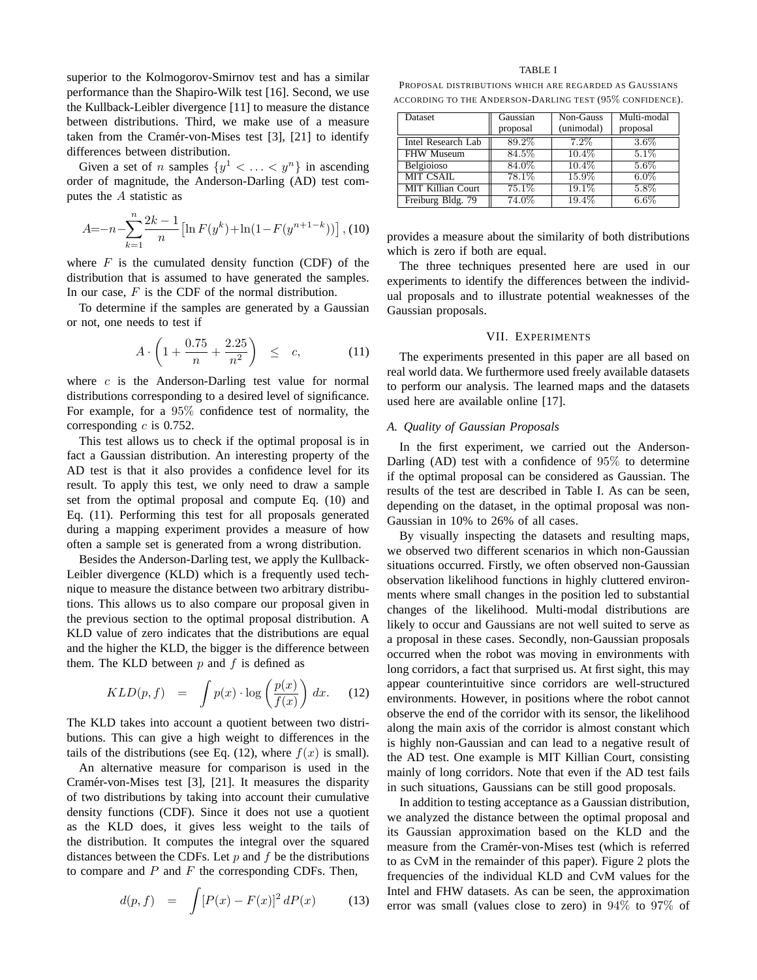superior to the Kolmogorov-Smirnov test and has a similar performance than the Shapiro-Wilk test [16]. Second, we use the Kullback-Leibler divergence [11] to measure the distance between distributions. Third, we make use of a measure taken from the Cramér-von-Mises test  $[3]$ ,  $[21]$  to identify differences between distribution.

Given a set of *n* samples  $\{y^1 < \ldots < y^n\}$  in ascending order of magnitude, the Anderson-Darling (AD) test computes the A statistic as

$$
A = -n - \sum_{k=1}^{n} \frac{2k-1}{n} \left[ \ln F(y^k) + \ln(1 - F(y^{n+1-k})) \right],
$$
 (10)

where  $F$  is the cumulated density function (CDF) of the distribution that is assumed to have generated the samples. In our case,  $F$  is the CDF of the normal distribution.

To determine if the samples are generated by a Gaussian or not, one needs to test if

$$
A \cdot \left(1 + \frac{0.75}{n} + \frac{2.25}{n^2}\right) \leq c, \tag{11}
$$

where  $c$  is the Anderson-Darling test value for normal distributions corresponding to a desired level of significance. For example, for a 95% confidence test of normality, the corresponding  $c$  is 0.752.

This test allows us to check if the optimal proposal is in fact a Gaussian distribution. An interesting property of the AD test is that it also provides a confidence level for its result. To apply this test, we only need to draw a sample set from the optimal proposal and compute Eq. (10) and Eq. (11). Performing this test for all proposals generated during a mapping experiment provides a measure of how often a sample set is generated from a wrong distribution.

Besides the Anderson-Darling test, we apply the Kullback-Leibler divergence (KLD) which is a frequently used technique to measure the distance between two arbitrary distributions. This allows us to also compare our proposal given in the previous section to the optimal proposal distribution. A KLD value of zero indicates that the distributions are equal and the higher the KLD, the bigger is the difference between them. The KLD between  $p$  and  $f$  is defined as

$$
KLD(p, f) = \int p(x) \cdot \log \left(\frac{p(x)}{f(x)}\right) dx. \quad (12)
$$

The KLD takes into account a quotient between two distributions. This can give a high weight to differences in the tails of the distributions (see Eq. (12), where  $f(x)$  is small).

An alternative measure for comparison is used in the Cramér-von-Mises test  $[3]$ ,  $[21]$ . It measures the disparity of two distributions by taking into account their cumulative density functions (CDF). Since it does not use a quotient as the KLD does, it gives less weight to the tails of the distribution. It computes the integral over the squared distances between the CDFs. Let  $p$  and  $f$  be the distributions to compare and  $P$  and  $F$  the corresponding CDFs. Then,

$$
d(p, f) = \int [P(x) - F(x)]^2 \, dP(x) \tag{13}
$$

#### TABLE I

PROPOSAL DISTRIBUTIONS WHICH ARE REGARDED AS GAUSSIANS ACCORDING TO THE ANDERSON-DARLING TEST (95% CONFIDENCE).

| <b>Dataset</b>           | Gaussian<br>Non-Gauss |            | Multi-modal |
|--------------------------|-----------------------|------------|-------------|
|                          | proposal              | (unimodal) | proposal    |
| Intel Research Lab       | 89.2%                 | $7.2\%$    | $3.6\%$     |
| <b>FHW Museum</b>        | $84.5\%$              | 10.4%      | $5.1\%$     |
| Belgioioso               | 84.0%                 | 10.4%      | $5.6\%$     |
| <b>MIT CSAIL</b>         | $78.1\%$              | 15.9%      | $6.0\%$     |
| <b>MIT Killian Court</b> | 75.1%                 | 19.1%      | 5.8%        |
| Freiburg Bldg. 79        | 74.0%                 | 19.4%      | $6.6\%$     |

provides a measure about the similarity of both distributions which is zero if both are equal.

The three techniques presented here are used in our experiments to identify the differences between the individual proposals and to illustrate potential weaknesses of the Gaussian proposals.

## VII. EXPERIMENTS

The experiments presented in this paper are all based on real world data. We furthermore used freely available datasets to perform our analysis. The learned maps and the datasets used here are available online [17].

## *A. Quality of Gaussian Proposals*

In the first experiment, we carried out the Anderson-Darling (AD) test with a confidence of 95% to determine if the optimal proposal can be considered as Gaussian. The results of the test are described in Table I. As can be seen, depending on the dataset, in the optimal proposal was non-Gaussian in 10% to 26% of all cases.

By visually inspecting the datasets and resulting maps, we observed two different scenarios in which non-Gaussian situations occurred. Firstly, we often observed non-Gaussian observation likelihood functions in highly cluttered environments where small changes in the position led to substantial changes of the likelihood. Multi-modal distributions are likely to occur and Gaussians are not well suited to serve as a proposal in these cases. Secondly, non-Gaussian proposals occurred when the robot was moving in environments with long corridors, a fact that surprised us. At first sight, this may appear counterintuitive since corridors are well-structured environments. However, in positions where the robot cannot observe the end of the corridor with its sensor, the likelihood along the main axis of the corridor is almost constant which is highly non-Gaussian and can lead to a negative result of the AD test. One example is MIT Killian Court, consisting mainly of long corridors. Note that even if the AD test fails in such situations, Gaussians can be still good proposals.

In addition to testing acceptance as a Gaussian distribution, we analyzed the distance between the optimal proposal and its Gaussian approximation based on the KLD and the measure from the Cramér-von-Mises test (which is referred to as CvM in the remainder of this paper). Figure 2 plots the frequencies of the individual KLD and CvM values for the Intel and FHW datasets. As can be seen, the approximation error was small (values close to zero) in 94% to 97% of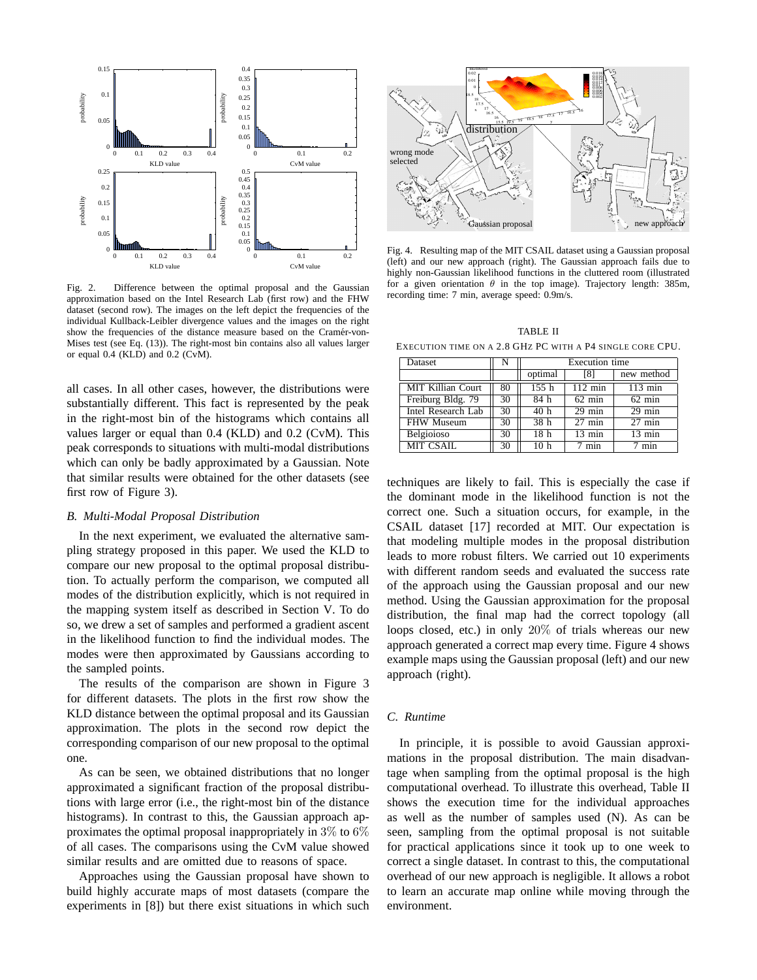

Fig. 2. Difference between the optimal proposal and the Gaussian approximation based on the Intel Research Lab (first row) and the FHW dataset (second row). The images on the left depict the frequencies of the individual Kullback-Leibler divergence values and the images on the right show the frequencies of the distance measure based on the Cramér-von-Mises test (see Eq. (13)). The right-most bin contains also all values larger or equal 0.4 (KLD) and 0.2 (CvM).

all cases. In all other cases, however, the distributions were substantially different. This fact is represented by the peak in the right-most bin of the histograms which contains all values larger or equal than 0.4 (KLD) and 0.2 (CvM). This peak corresponds to situations with multi-modal distributions which can only be badly approximated by a Gaussian. Note that similar results were obtained for the other datasets (see first row of Figure 3).

# *B. Multi-Modal Proposal Distribution*

In the next experiment, we evaluated the alternative sampling strategy proposed in this paper. We used the KLD to compare our new proposal to the optimal proposal distribution. To actually perform the comparison, we computed all modes of the distribution explicitly, which is not required in the mapping system itself as described in Section V. To do so, we drew a set of samples and performed a gradient ascent in the likelihood function to find the individual modes. The modes were then approximated by Gaussians according to the sampled points.

The results of the comparison are shown in Figure 3 for different datasets. The plots in the first row show the KLD distance between the optimal proposal and its Gaussian approximation. The plots in the second row depict the corresponding comparison of our new proposal to the optimal one.

As can be seen, we obtained distributions that no longer approximated a significant fraction of the proposal distributions with large error (i.e., the right-most bin of the distance histograms). In contrast to this, the Gaussian approach approximates the optimal proposal inappropriately in 3% to 6% of all cases. The comparisons using the CvM value showed similar results and are omitted due to reasons of space.

Approaches using the Gaussian proposal have shown to build highly accurate maps of most datasets (compare the experiments in [8]) but there exist situations in which such



Fig. 4. Resulting map of the MIT CSAIL dataset using a Gaussian proposal (left) and our new approach (right). The Gaussian approach fails due to highly non-Gaussian likelihood functions in the cluttered room (illustrated for a given orientation  $\theta$  in the top image). Trajectory length: 385m, recording time: 7 min, average speed: 0.9m/s.

TABLE II EXECUTION TIME ON A 2.8 GHZ PC WITH A P4 SINGLE CORE CPU.

| Dataset                  | N  | <b>Execution</b> time |                   |                   |
|--------------------------|----|-----------------------|-------------------|-------------------|
|                          |    | optimal               | [8]               | new method        |
| <b>MIT Killian Court</b> | 80 | 155h                  | $112 \text{ min}$ | $113 \text{ min}$ |
| Freiburg Bldg. 79        | 30 | 84 h                  | $62 \text{ min}$  | $62 \text{ min}$  |
| Intel Research Lab       | 30 | 40 <sub>h</sub>       | $29$ min          | $29$ min          |
| FHW Museum               | 30 | 38 <sub>h</sub>       | $27 \text{ min}$  | $27 \text{ min}$  |
| Belgioioso               | 30 | 18 <sub>h</sub>       | $13 \text{ min}$  | $13 \text{ min}$  |
| <b>MIT CSAIL</b>         | 30 | 10 <sub>h</sub>       | 7 min             | $7 \text{ min}$   |

techniques are likely to fail. This is especially the case if the dominant mode in the likelihood function is not the correct one. Such a situation occurs, for example, in the CSAIL dataset [17] recorded at MIT. Our expectation is that modeling multiple modes in the proposal distribution leads to more robust filters. We carried out 10 experiments with different random seeds and evaluated the success rate of the approach using the Gaussian proposal and our new method. Using the Gaussian approximation for the proposal distribution, the final map had the correct topology (all loops closed, etc.) in only 20% of trials whereas our new approach generated a correct map every time. Figure 4 shows example maps using the Gaussian proposal (left) and our new approach (right).

# *C. Runtime*

In principle, it is possible to avoid Gaussian approximations in the proposal distribution. The main disadvantage when sampling from the optimal proposal is the high computational overhead. To illustrate this overhead, Table II shows the execution time for the individual approaches as well as the number of samples used (N). As can be seen, sampling from the optimal proposal is not suitable for practical applications since it took up to one week to correct a single dataset. In contrast to this, the computational overhead of our new approach is negligible. It allows a robot to learn an accurate map online while moving through the environment.